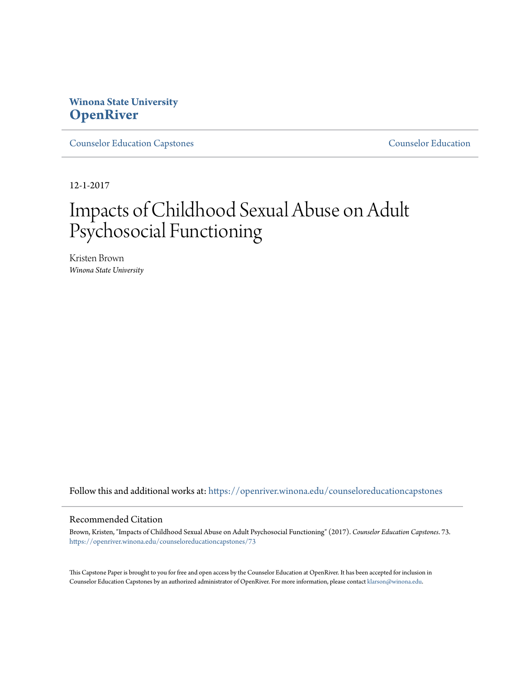# **Winona State University [OpenRiver](https://openriver.winona.edu?utm_source=openriver.winona.edu%2Fcounseloreducationcapstones%2F73&utm_medium=PDF&utm_campaign=PDFCoverPages)**

[Counselor Education Capstones](https://openriver.winona.edu/counseloreducationcapstones?utm_source=openriver.winona.edu%2Fcounseloreducationcapstones%2F73&utm_medium=PDF&utm_campaign=PDFCoverPages) [Counselor Education](https://openriver.winona.edu/counseloreducation?utm_source=openriver.winona.edu%2Fcounseloreducationcapstones%2F73&utm_medium=PDF&utm_campaign=PDFCoverPages)

12-1-2017

# Impacts of Childhood Sexual Abuse on Adult Psychosocial Functioning

Kristen Brown *Winona State University*

Follow this and additional works at: [https://openriver.winona.edu/counseloreducationcapstones](https://openriver.winona.edu/counseloreducationcapstones?utm_source=openriver.winona.edu%2Fcounseloreducationcapstones%2F73&utm_medium=PDF&utm_campaign=PDFCoverPages)

#### Recommended Citation

Brown, Kristen, "Impacts of Childhood Sexual Abuse on Adult Psychosocial Functioning" (2017). *Counselor Education Capstones*. 73. [https://openriver.winona.edu/counseloreducationcapstones/73](https://openriver.winona.edu/counseloreducationcapstones/73?utm_source=openriver.winona.edu%2Fcounseloreducationcapstones%2F73&utm_medium=PDF&utm_campaign=PDFCoverPages)

This Capstone Paper is brought to you for free and open access by the Counselor Education at OpenRiver. It has been accepted for inclusion in Counselor Education Capstones by an authorized administrator of OpenRiver. For more information, please contact [klarson@winona.edu](mailto:klarson@winona.edu).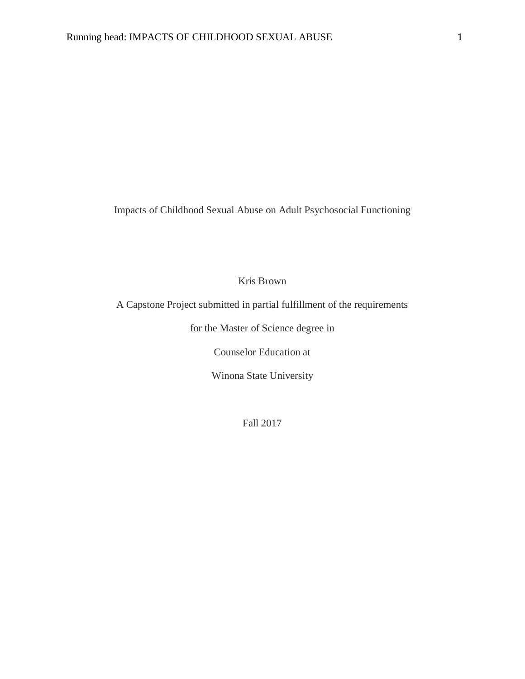Impacts of Childhood Sexual Abuse on Adult Psychosocial Functioning

Kris Brown

A Capstone Project submitted in partial fulfillment of the requirements

for the Master of Science degree in

Counselor Education at

Winona State University

Fall 2017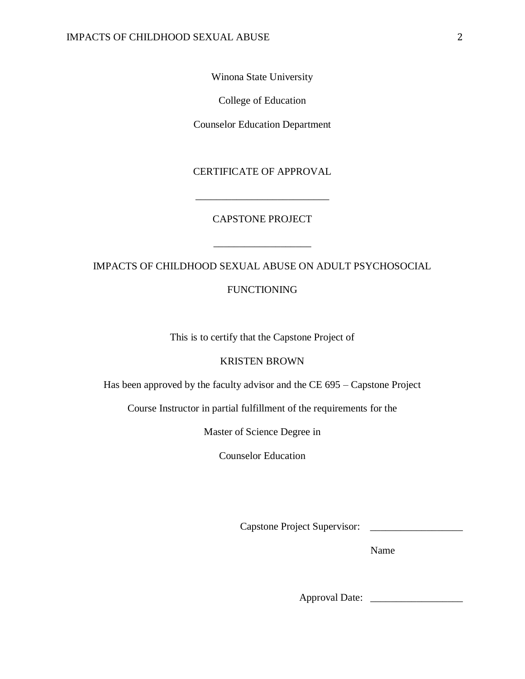Winona State University

College of Education

Counselor Education Department

# CERTIFICATE OF APPROVAL

## CAPSTONE PROJECT

\_\_\_\_\_\_\_\_\_\_\_\_\_\_\_\_\_\_\_\_\_\_\_\_\_\_

IMPACTS OF CHILDHOOD SEXUAL ABUSE ON ADULT PSYCHOSOCIAL

\_\_\_\_\_\_\_\_\_\_\_\_\_\_\_\_\_\_\_

FUNCTIONING

This is to certify that the Capstone Project of

## KRISTEN BROWN

Has been approved by the faculty advisor and the CE 695 – Capstone Project

Course Instructor in partial fulfillment of the requirements for the

Master of Science Degree in

Counselor Education

Capstone Project Supervisor: \_\_\_\_\_\_\_\_\_\_\_\_\_\_\_\_\_\_

Name

Approval Date: \_\_\_\_\_\_\_\_\_\_\_\_\_\_\_\_\_\_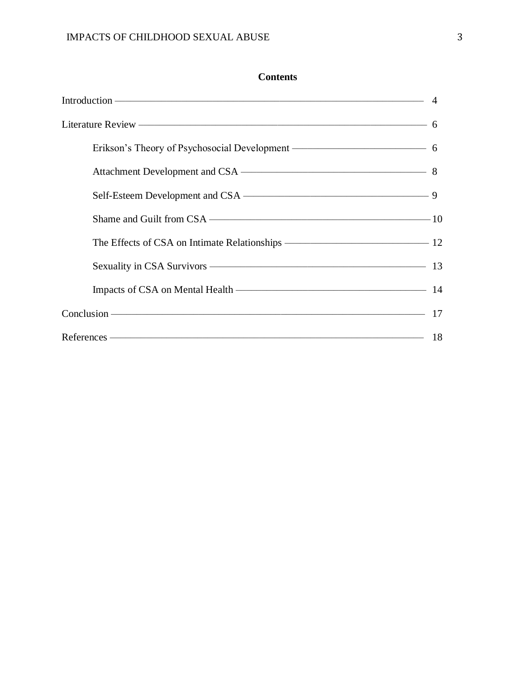# **Contents**

| Erikson's Theory of Psychosocial Development ———————————————————— 6 |  |
|---------------------------------------------------------------------|--|
|                                                                     |  |
|                                                                     |  |
|                                                                     |  |
| The Effects of CSA on Intimate Relationships ————————————————————12 |  |
|                                                                     |  |
|                                                                     |  |
|                                                                     |  |
|                                                                     |  |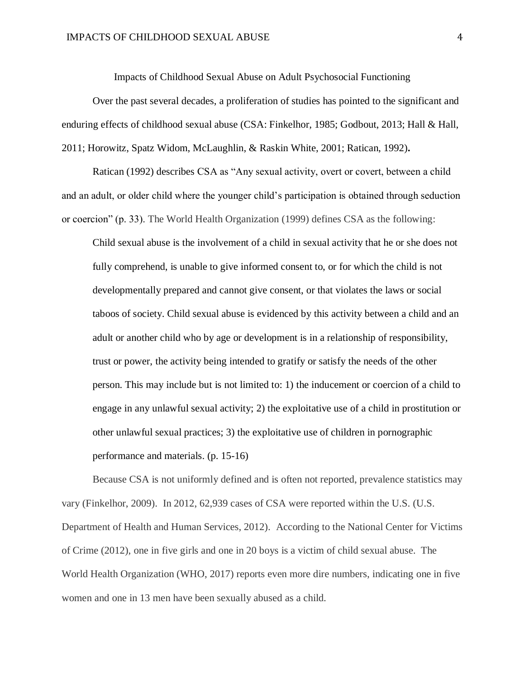Impacts of Childhood Sexual Abuse on Adult Psychosocial Functioning

Over the past several decades, a proliferation of studies has pointed to the significant and enduring effects of childhood sexual abuse (CSA: Finkelhor, 1985; Godbout, 2013; Hall & Hall, 2011; Horowitz, Spatz Widom, McLaughlin, & Raskin White, 2001; Ratican, 1992)**.** 

Ratican (1992) describes CSA as "Any sexual activity, overt or covert, between a child and an adult, or older child where the younger child's participation is obtained through seduction or coercion" (p. 33). The World Health Organization (1999) defines CSA as the following:

Child sexual abuse is the involvement of a child in sexual activity that he or she does not fully comprehend, is unable to give informed consent to, or for which the child is not developmentally prepared and cannot give consent, or that violates the laws or social taboos of society. Child sexual abuse is evidenced by this activity between a child and an adult or another child who by age or development is in a relationship of responsibility, trust or power, the activity being intended to gratify or satisfy the needs of the other person. This may include but is not limited to: 1) the inducement or coercion of a child to engage in any unlawful sexual activity; 2) the exploitative use of a child in prostitution or other unlawful sexual practices; 3) the exploitative use of children in pornographic performance and materials. (p. 15-16)

Because CSA is not uniformly defined and is often not reported, prevalence statistics may vary (Finkelhor, 2009). In 2012, 62,939 cases of CSA were reported within the U.S. (U.S. Department of Health and Human Services, 2012).According to the National Center for Victims of Crime (2012), one in five girls and one in 20 boys is a victim of child sexual abuse. The World Health Organization (WHO, 2017) reports even more dire numbers, indicating one in five women and one in 13 men have been sexually abused as a child.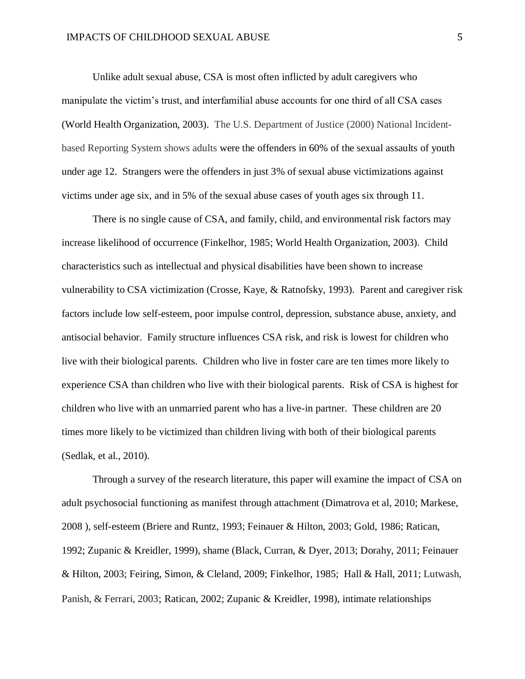Unlike adult sexual abuse, CSA is most often inflicted by adult caregivers who manipulate the victim's trust, and interfamilial abuse accounts for one third of all CSA cases (World Health Organization, 2003). The U.S. Department of Justice (2000) National Incidentbased Reporting System shows adults were the offenders in 60% of the sexual assaults of youth under age 12. Strangers were the offenders in just 3% of sexual abuse victimizations against victims under age six, and in 5% of the sexual abuse cases of youth ages six through 11.

There is no single cause of CSA, and family, child, and environmental risk factors may increase likelihood of occurrence (Finkelhor, 1985; World Health Organization, 2003). Child characteristics such as intellectual and physical disabilities have been shown to increase vulnerability to CSA victimization (Crosse, Kaye, & Ratnofsky, 1993). Parent and caregiver risk factors include low self-esteem, poor impulse control, depression, substance abuse, anxiety, and antisocial behavior. Family structure influences CSA risk, and risk is lowest for children who live with their biological parents. Children who live in foster care are ten times more likely to experience CSA than children who live with their biological parents. Risk of CSA is highest for children who live with an unmarried parent who has a live-in partner. These children are 20 times more likely to be victimized than children living with both of their biological parents (Sedlak, et al., 2010).

Through a survey of the research literature, this paper will examine the impact of CSA on adult psychosocial functioning as manifest through attachment (Dimatrova et al, 2010; Markese, 2008 ), self-esteem (Briere and Runtz, 1993; Feinauer & Hilton, 2003; Gold, 1986; Ratican, 1992; Zupanic & Kreidler, 1999), shame (Black, Curran, & Dyer, 2013; Dorahy, 2011; Feinauer & Hilton, 2003; Feiring, Simon, & Cleland, 2009; Finkelhor, 1985; Hall & Hall, 2011; Lutwash, Panish, & Ferrari, 2003; Ratican, 2002; Zupanic & Kreidler, 1998), intimate relationships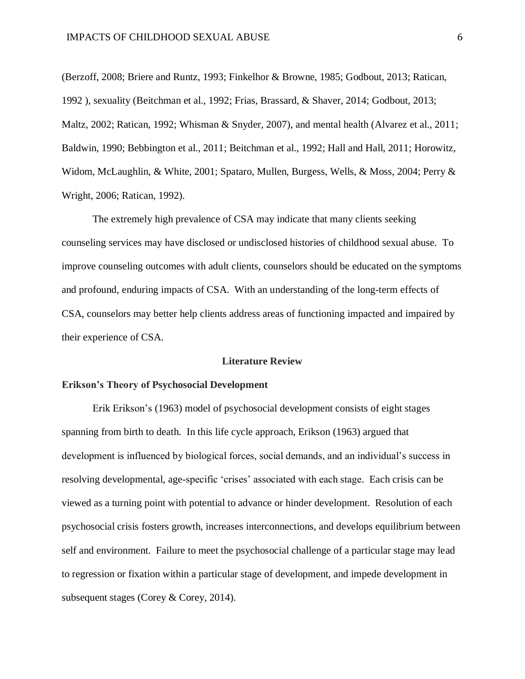(Berzoff, 2008; Briere and Runtz, 1993; Finkelhor & Browne, 1985; Godbout, 2013; Ratican, 1992 ), sexuality (Beitchman et al., 1992; Frias, Brassard, & Shaver, 2014; Godbout, 2013; Maltz, 2002; Ratican, 1992; Whisman & Snyder, 2007), and mental health (Alvarez et al., 2011; Baldwin, 1990; Bebbington et al., 2011; Beitchman et al., 1992; Hall and Hall, 2011; Horowitz, Widom, McLaughlin, & White, 2001; Spataro, Mullen, Burgess, Wells, & Moss, 2004; Perry & Wright, 2006; Ratican, 1992).

The extremely high prevalence of CSA may indicate that many clients seeking counseling services may have disclosed or undisclosed histories of childhood sexual abuse. To improve counseling outcomes with adult clients, counselors should be educated on the symptoms and profound, enduring impacts of CSA. With an understanding of the long-term effects of CSA, counselors may better help clients address areas of functioning impacted and impaired by their experience of CSA.

#### **Literature Review**

## **Erikson's Theory of Psychosocial Development**

Erik Erikson's (1963) model of psychosocial development consists of eight stages spanning from birth to death. In this life cycle approach, Erikson (1963) argued that development is influenced by biological forces, social demands, and an individual's success in resolving developmental, age-specific 'crises' associated with each stage. Each crisis can be viewed as a turning point with potential to advance or hinder development. Resolution of each psychosocial crisis fosters growth, increases interconnections, and develops equilibrium between self and environment. Failure to meet the psychosocial challenge of a particular stage may lead to regression or fixation within a particular stage of development, and impede development in subsequent stages (Corey & Corey, 2014).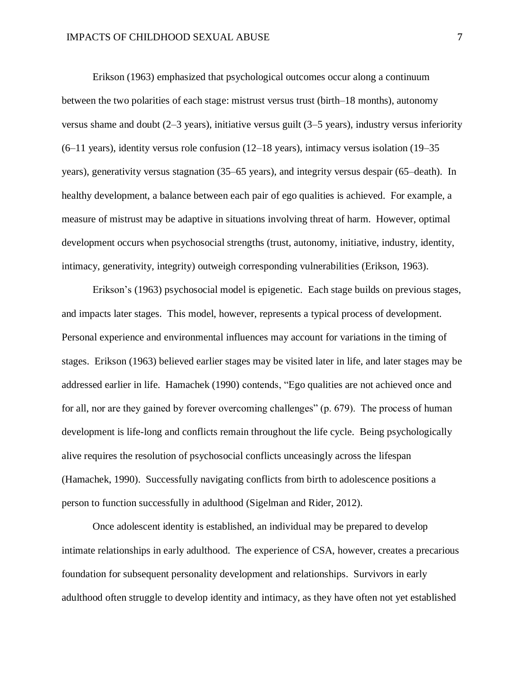Erikson (1963) emphasized that psychological outcomes occur along a continuum between the two polarities of each stage: mistrust versus trust (birth–18 months), autonomy versus shame and doubt (2–3 years), initiative versus guilt (3–5 years), industry versus inferiority (6–11 years), identity versus role confusion (12–18 years), intimacy versus isolation (19–35 years), generativity versus stagnation (35–65 years), and integrity versus despair (65–death). In healthy development, a balance between each pair of ego qualities is achieved. For example, a measure of mistrust may be adaptive in situations involving threat of harm. However, optimal development occurs when psychosocial strengths (trust, autonomy, initiative, industry, identity, intimacy, generativity, integrity) outweigh corresponding vulnerabilities (Erikson, 1963).

Erikson's (1963) psychosocial model is epigenetic. Each stage builds on previous stages, and impacts later stages. This model, however, represents a typical process of development. Personal experience and environmental influences may account for variations in the timing of stages. Erikson (1963) believed earlier stages may be visited later in life, and later stages may be addressed earlier in life. Hamachek (1990) contends, "Ego qualities are not achieved once and for all, nor are they gained by forever overcoming challenges" (p. 679). The process of human development is life-long and conflicts remain throughout the life cycle. Being psychologically alive requires the resolution of psychosocial conflicts unceasingly across the lifespan (Hamachek, 1990). Successfully navigating conflicts from birth to adolescence positions a person to function successfully in adulthood (Sigelman and Rider, 2012).

Once adolescent identity is established, an individual may be prepared to develop intimate relationships in early adulthood. The experience of CSA, however, creates a precarious foundation for subsequent personality development and relationships. Survivors in early adulthood often struggle to develop identity and intimacy, as they have often not yet established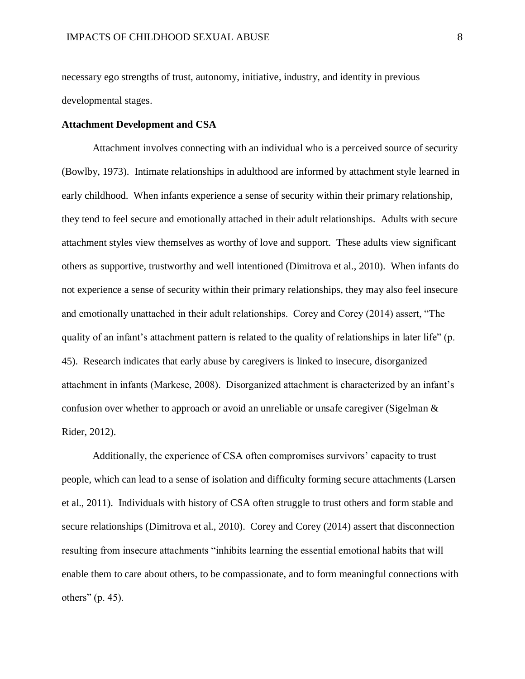necessary ego strengths of trust, autonomy, initiative, industry, and identity in previous developmental stages.

## **Attachment Development and CSA**

Attachment involves connecting with an individual who is a perceived source of security (Bowlby, 1973). Intimate relationships in adulthood are informed by attachment style learned in early childhood. When infants experience a sense of security within their primary relationship, they tend to feel secure and emotionally attached in their adult relationships. Adults with secure attachment styles view themselves as worthy of love and support. These adults view significant others as supportive, trustworthy and well intentioned (Dimitrova et al., 2010). When infants do not experience a sense of security within their primary relationships, they may also feel insecure and emotionally unattached in their adult relationships. Corey and Corey (2014) assert, "The quality of an infant's attachment pattern is related to the quality of relationships in later life" (p. 45). Research indicates that early abuse by caregivers is linked to insecure, disorganized attachment in infants (Markese, 2008). Disorganized attachment is characterized by an infant's confusion over whether to approach or avoid an unreliable or unsafe caregiver (Sigelman & Rider, 2012).

Additionally, the experience of CSA often compromises survivors' capacity to trust people, which can lead to a sense of isolation and difficulty forming secure attachments (Larsen et al., 2011). Individuals with history of CSA often struggle to trust others and form stable and secure relationships (Dimitrova et al., 2010). Corey and Corey (2014) assert that disconnection resulting from insecure attachments "inhibits learning the essential emotional habits that will enable them to care about others, to be compassionate, and to form meaningful connections with others" (p. 45).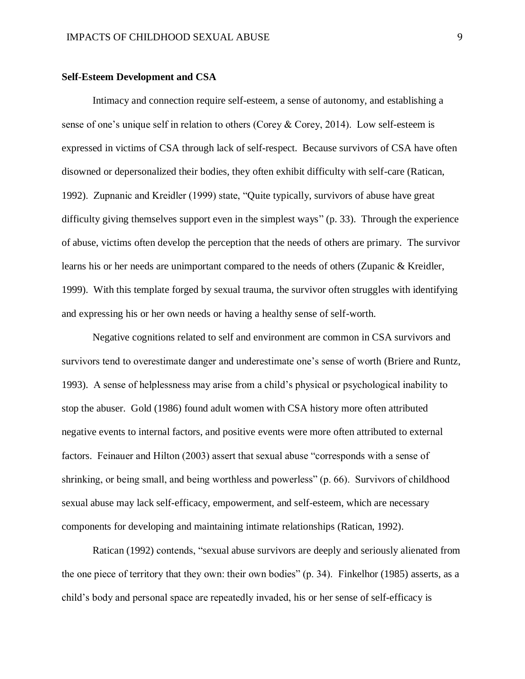### **Self-Esteem Development and CSA**

Intimacy and connection require self-esteem, a sense of autonomy, and establishing a sense of one's unique self in relation to others (Corey & Corey, 2014). Low self-esteem is expressed in victims of CSA through lack of self-respect. Because survivors of CSA have often disowned or depersonalized their bodies, they often exhibit difficulty with self-care (Ratican, 1992). Zupnanic and Kreidler (1999) state, "Quite typically, survivors of abuse have great difficulty giving themselves support even in the simplest ways" (p. 33). Through the experience of abuse, victims often develop the perception that the needs of others are primary. The survivor learns his or her needs are unimportant compared to the needs of others (Zupanic & Kreidler, 1999). With this template forged by sexual trauma, the survivor often struggles with identifying and expressing his or her own needs or having a healthy sense of self-worth.

Negative cognitions related to self and environment are common in CSA survivors and survivors tend to overestimate danger and underestimate one's sense of worth (Briere and Runtz, 1993). A sense of helplessness may arise from a child's physical or psychological inability to stop the abuser. Gold (1986) found adult women with CSA history more often attributed negative events to internal factors, and positive events were more often attributed to external factors. Feinauer and Hilton (2003) assert that sexual abuse "corresponds with a sense of shrinking, or being small, and being worthless and powerless" (p. 66). Survivors of childhood sexual abuse may lack self-efficacy, empowerment, and self-esteem, which are necessary components for developing and maintaining intimate relationships (Ratican, 1992).

Ratican (1992) contends, "sexual abuse survivors are deeply and seriously alienated from the one piece of territory that they own: their own bodies" (p. 34). Finkelhor (1985) asserts, as a child's body and personal space are repeatedly invaded, his or her sense of self-efficacy is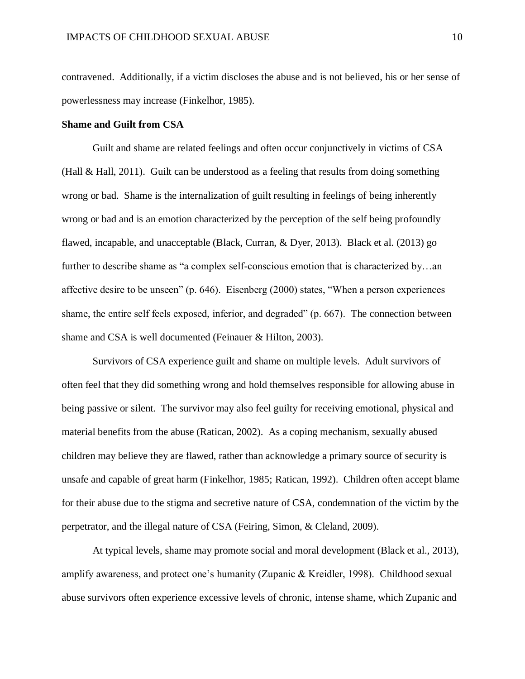contravened. Additionally, if a victim discloses the abuse and is not believed, his or her sense of powerlessness may increase (Finkelhor, 1985).

#### **Shame and Guilt from CSA**

Guilt and shame are related feelings and often occur conjunctively in victims of CSA (Hall & Hall, 2011). Guilt can be understood as a feeling that results from doing something wrong or bad. Shame is the internalization of guilt resulting in feelings of being inherently wrong or bad and is an emotion characterized by the perception of the self being profoundly flawed, incapable, and unacceptable (Black, Curran, & Dyer, 2013). Black et al. (2013) go further to describe shame as "a complex self-conscious emotion that is characterized by...an affective desire to be unseen" (p. 646). Eisenberg (2000) states, "When a person experiences shame, the entire self feels exposed, inferior, and degraded" (p. 667). The connection between shame and CSA is well documented (Feinauer & Hilton, 2003).

Survivors of CSA experience guilt and shame on multiple levels. Adult survivors of often feel that they did something wrong and hold themselves responsible for allowing abuse in being passive or silent. The survivor may also feel guilty for receiving emotional, physical and material benefits from the abuse (Ratican, 2002). As a coping mechanism, sexually abused children may believe they are flawed, rather than acknowledge a primary source of security is unsafe and capable of great harm (Finkelhor, 1985; Ratican, 1992). Children often accept blame for their abuse due to the stigma and secretive nature of CSA, condemnation of the victim by the perpetrator, and the illegal nature of CSA (Feiring, Simon, & Cleland, 2009).

At typical levels, shame may promote social and moral development (Black et al., 2013), amplify awareness, and protect one's humanity (Zupanic & Kreidler, 1998). Childhood sexual abuse survivors often experience excessive levels of chronic, intense shame, which Zupanic and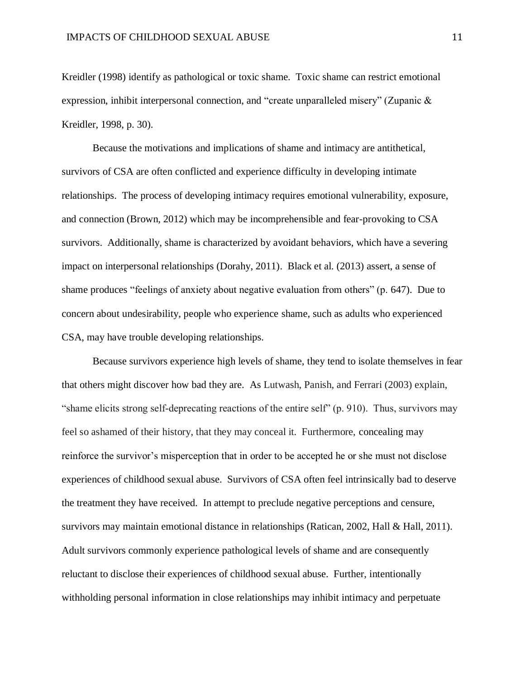Kreidler (1998) identify as pathological or toxic shame. Toxic shame can restrict emotional expression, inhibit interpersonal connection, and "create unparalleled misery" (Zupanic & Kreidler, 1998, p. 30).

Because the motivations and implications of shame and intimacy are antithetical, survivors of CSA are often conflicted and experience difficulty in developing intimate relationships. The process of developing intimacy requires emotional vulnerability, exposure, and connection (Brown, 2012) which may be incomprehensible and fear-provoking to CSA survivors. Additionally, shame is characterized by avoidant behaviors, which have a severing impact on interpersonal relationships (Dorahy, 2011). Black et al. (2013) assert, a sense of shame produces "feelings of anxiety about negative evaluation from others" (p. 647). Due to concern about undesirability, people who experience shame, such as adults who experienced CSA, may have trouble developing relationships.

Because survivors experience high levels of shame, they tend to isolate themselves in fear that others might discover how bad they are. As Lutwash, Panish, and Ferrari (2003) explain, "shame elicits strong self-deprecating reactions of the entire self" (p. 910). Thus, survivors may feel so ashamed of their history, that they may conceal it. Furthermore, concealing may reinforce the survivor's misperception that in order to be accepted he or she must not disclose experiences of childhood sexual abuse. Survivors of CSA often feel intrinsically bad to deserve the treatment they have received. In attempt to preclude negative perceptions and censure, survivors may maintain emotional distance in relationships (Ratican, 2002, Hall & Hall, 2011). Adult survivors commonly experience pathological levels of shame and are consequently reluctant to disclose their experiences of childhood sexual abuse. Further, intentionally withholding personal information in close relationships may inhibit intimacy and perpetuate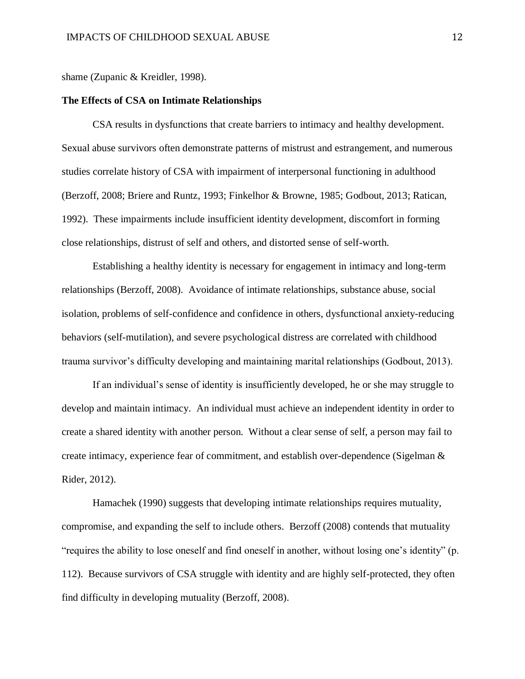shame (Zupanic & Kreidler, 1998).

#### **The Effects of CSA on Intimate Relationships**

CSA results in dysfunctions that create barriers to intimacy and healthy development. Sexual abuse survivors often demonstrate patterns of mistrust and estrangement, and numerous studies correlate history of CSA with impairment of interpersonal functioning in adulthood (Berzoff, 2008; Briere and Runtz, 1993; Finkelhor & Browne, 1985; Godbout, 2013; Ratican, 1992). These impairments include insufficient identity development, discomfort in forming close relationships, distrust of self and others, and distorted sense of self-worth.

Establishing a healthy identity is necessary for engagement in intimacy and long-term relationships (Berzoff, 2008). Avoidance of intimate relationships, substance abuse, social isolation, problems of self-confidence and confidence in others, dysfunctional anxiety-reducing behaviors (self-mutilation), and severe psychological distress are correlated with childhood trauma survivor's difficulty developing and maintaining marital relationships (Godbout, 2013).

If an individual's sense of identity is insufficiently developed, he or she may struggle to develop and maintain intimacy. An individual must achieve an independent identity in order to create a shared identity with another person. Without a clear sense of self, a person may fail to create intimacy, experience fear of commitment, and establish over-dependence (Sigelman & Rider, 2012).

Hamachek (1990) suggests that developing intimate relationships requires mutuality, compromise, and expanding the self to include others. Berzoff (2008) contends that mutuality "requires the ability to lose oneself and find oneself in another, without losing one's identity" (p. 112). Because survivors of CSA struggle with identity and are highly self-protected, they often find difficulty in developing mutuality (Berzoff, 2008).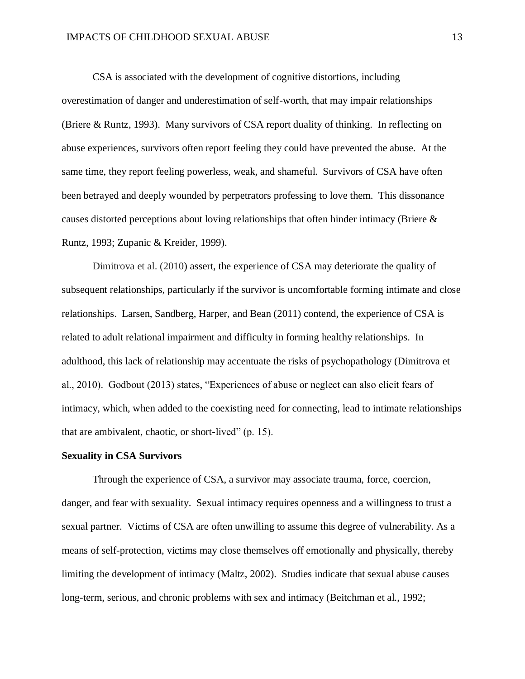CSA is associated with the development of cognitive distortions, including overestimation of danger and underestimation of self-worth, that may impair relationships (Briere & Runtz, 1993). Many survivors of CSA report duality of thinking. In reflecting on abuse experiences, survivors often report feeling they could have prevented the abuse. At the same time, they report feeling powerless, weak, and shameful. Survivors of CSA have often been betrayed and deeply wounded by perpetrators professing to love them. This dissonance causes distorted perceptions about loving relationships that often hinder intimacy (Briere & Runtz, 1993; Zupanic & Kreider, 1999).

Dimitrova et al. (2010) assert, the experience of CSA may deteriorate the quality of subsequent relationships, particularly if the survivor is uncomfortable forming intimate and close relationships. Larsen, Sandberg, Harper, and Bean (2011) contend, the experience of CSA is related to adult relational impairment and difficulty in forming healthy relationships. In adulthood, this lack of relationship may accentuate the risks of psychopathology (Dimitrova et al., 2010). Godbout (2013) states, "Experiences of abuse or neglect can also elicit fears of intimacy, which, when added to the coexisting need for connecting, lead to intimate relationships that are ambivalent, chaotic, or short-lived" (p. 15).

### **Sexuality in CSA Survivors**

Through the experience of CSA, a survivor may associate trauma, force, coercion, danger, and fear with sexuality. Sexual intimacy requires openness and a willingness to trust a sexual partner. Victims of CSA are often unwilling to assume this degree of vulnerability. As a means of self-protection, victims may close themselves off emotionally and physically, thereby limiting the development of intimacy (Maltz, 2002). Studies indicate that sexual abuse causes long-term, serious, and chronic problems with sex and intimacy (Beitchman et al., 1992;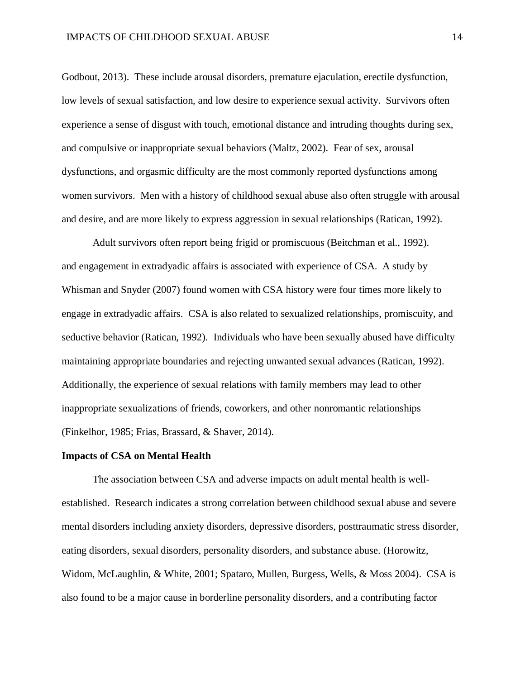Godbout, 2013). These include arousal disorders, premature ejaculation, erectile dysfunction, low levels of sexual satisfaction, and low desire to experience sexual activity. Survivors often experience a sense of disgust with touch, emotional distance and intruding thoughts during sex, and compulsive or inappropriate sexual behaviors (Maltz, 2002). Fear of sex, arousal dysfunctions, and orgasmic difficulty are the most commonly reported dysfunctions among women survivors. Men with a history of childhood sexual abuse also often struggle with arousal and desire, and are more likely to express aggression in sexual relationships (Ratican, 1992).

Adult survivors often report being frigid or promiscuous (Beitchman et al., 1992). and engagement in extradyadic affairs is associated with experience of CSA. A study by Whisman and Snyder (2007) found women with CSA history were four times more likely to engage in extradyadic affairs. CSA is also related to sexualized relationships, promiscuity, and seductive behavior (Ratican, 1992). Individuals who have been sexually abused have difficulty maintaining appropriate boundaries and rejecting unwanted sexual advances (Ratican, 1992). Additionally, the experience of sexual relations with family members may lead to other inappropriate sexualizations of friends, coworkers, and other nonromantic relationships (Finkelhor, 1985; Frias, Brassard, & Shaver, 2014).

#### **Impacts of CSA on Mental Health**

The association between CSA and adverse impacts on adult mental health is wellestablished. Research indicates a strong correlation between childhood sexual abuse and severe mental disorders including anxiety disorders, depressive disorders, posttraumatic stress disorder, eating disorders, sexual disorders, personality disorders, and substance abuse. (Horowitz, Widom, McLaughlin, & White, 2001; Spataro, Mullen, Burgess, Wells, & Moss 2004). CSA is also found to be a major cause in borderline personality disorders, and a contributing factor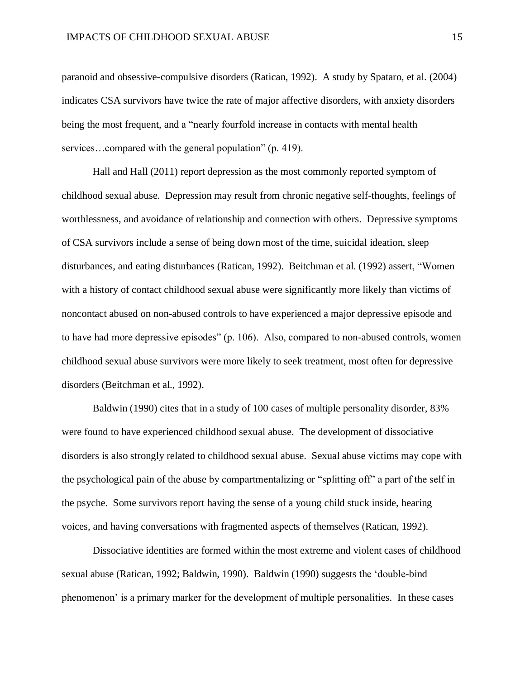paranoid and obsessive-compulsive disorders (Ratican, 1992). A study by Spataro, et al. (2004) indicates CSA survivors have twice the rate of major affective disorders, with anxiety disorders being the most frequent, and a "nearly fourfold increase in contacts with mental health services...compared with the general population" (p. 419).

Hall and Hall (2011) report depression as the most commonly reported symptom of childhood sexual abuse. Depression may result from chronic negative self-thoughts, feelings of worthlessness, and avoidance of relationship and connection with others. Depressive symptoms of CSA survivors include a sense of being down most of the time, suicidal ideation, sleep disturbances, and eating disturbances (Ratican, 1992). Beitchman et al. (1992) assert, "Women with a history of contact childhood sexual abuse were significantly more likely than victims of noncontact abused on non-abused controls to have experienced a major depressive episode and to have had more depressive episodes" (p. 106). Also, compared to non-abused controls, women childhood sexual abuse survivors were more likely to seek treatment, most often for depressive disorders (Beitchman et al., 1992).

Baldwin (1990) cites that in a study of 100 cases of multiple personality disorder, 83% were found to have experienced childhood sexual abuse. The development of dissociative disorders is also strongly related to childhood sexual abuse. Sexual abuse victims may cope with the psychological pain of the abuse by compartmentalizing or "splitting off" a part of the self in the psyche. Some survivors report having the sense of a young child stuck inside, hearing voices, and having conversations with fragmented aspects of themselves (Ratican, 1992).

Dissociative identities are formed within the most extreme and violent cases of childhood sexual abuse (Ratican, 1992; Baldwin, 1990). Baldwin (1990) suggests the 'double-bind phenomenon' is a primary marker for the development of multiple personalities. In these cases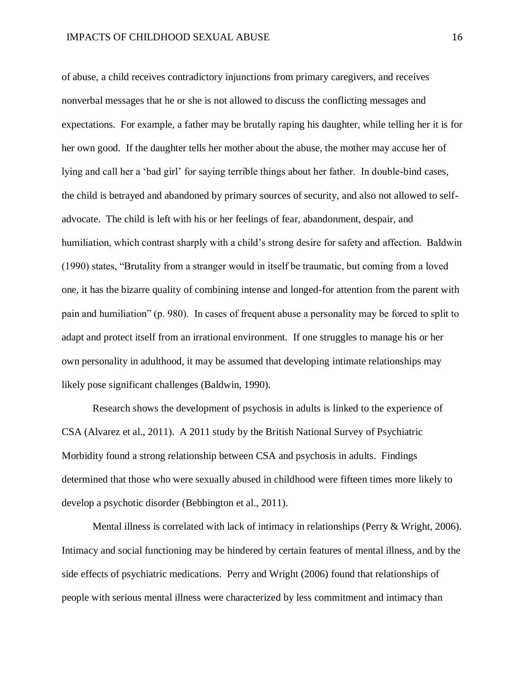of abuse, a child receives contradictory injunctions from primary caregivers, and receives nonverbal messages that he or she is not allowed to discuss the conflicting messages and expectations. For example, a father may be brutally raping his daughter, while telling her it is for her own good. If the daughter tells her mother about the abuse, the mother may accuse her of lying and call her a 'bad girl' for saying terrible things about her father. In double-bind cases, the child is betrayed and abandoned by primary sources of security, and also not allowed to selfadvocate. The child is left with his or her feelings of fear, abandonment, despair, and humiliation, which contrast sharply with a child's strong desire for safety and affection. Baldwin (1990) states, "Brutality from a stranger would in itself be traumatic, but coming from a loved one, it has the bizarre quality of combining intense and longed-for attention from the parent with pain and humiliation" (p. 980). In cases of frequent abuse a personality may be forced to split to adapt and protect itself from an irrational environment. If one struggles to manage his or her own personality in adulthood, it may be assumed that developing intimate relationships may likely pose significant challenges (Baldwin, 1990).

Research shows the development of psychosis in adults is linked to the experience of CSA (Alvarez et al., 2011). A 2011 study by the British National Survey of Psychiatric Morbidity found a strong relationship between CSA and psychosis in adults. Findings determined that those who were sexually abused in childhood were fifteen times more likely to develop a psychotic disorder (Bebbington et al., 2011).

Mental illness is correlated with lack of intimacy in relationships (Perry & Wright, 2006). Intimacy and social functioning may be hindered by certain features of mental illness, and by the side effects of psychiatric medications. Perry and Wright (2006) found that relationships of people with serious mental illness were characterized by less commitment and intimacy than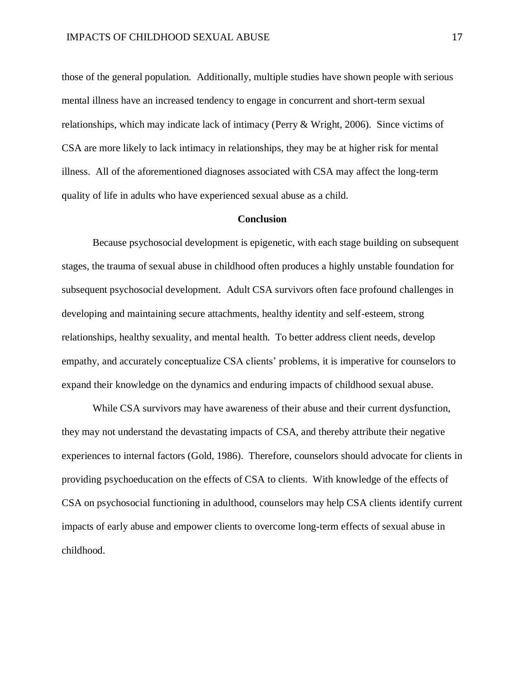those of the general population. Additionally, multiple studies have shown people with serious mental illness have an increased tendency to engage in concurrent and short-term sexual relationships, which may indicate lack of intimacy (Perry & Wright, 2006). Since victims of CSA are more likely to lack intimacy in relationships, they may be at higher risk for mental illness. All of the aforementioned diagnoses associated with CSA may affect the long-term quality of life in adults who have experienced sexual abuse as a child.

#### **Conclusion**

Because psychosocial development is epigenetic, with each stage building on subsequent stages, the trauma of sexual abuse in childhood often produces a highly unstable foundation for subsequent psychosocial development. Adult CSA survivors often face profound challenges in developing and maintaining secure attachments, healthy identity and self-esteem, strong relationships, healthy sexuality, and mental health. To better address client needs, develop empathy, and accurately conceptualize CSA clients' problems, it is imperative for counselors to expand their knowledge on the dynamics and enduring impacts of childhood sexual abuse.

While CSA survivors may have awareness of their abuse and their current dysfunction, they may not understand the devastating impacts of CSA, and thereby attribute their negative experiences to internal factors (Gold, 1986). Therefore, counselors should advocate for clients in providing psychoeducation on the effects of CSA to clients. With knowledge of the effects of CSA on psychosocial functioning in adulthood, counselors may help CSA clients identify current impacts of early abuse and empower clients to overcome long-term effects of sexual abuse in childhood.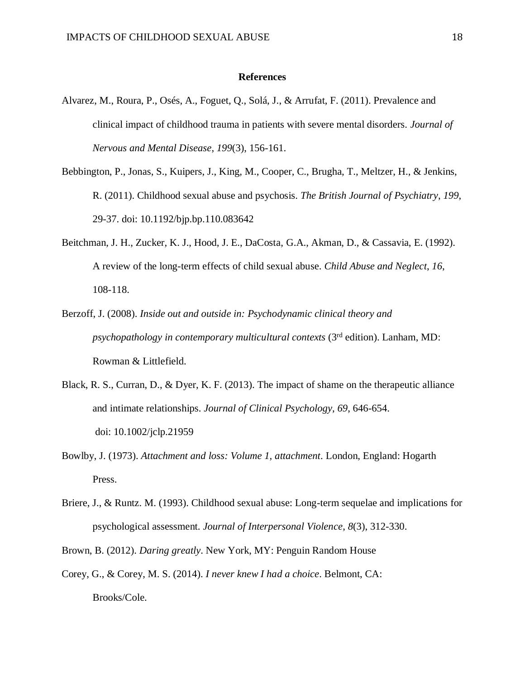## **References**

- Alvarez, M., Roura, P., Osés, A., Foguet, Q., Solá, J., & Arrufat, F. (2011). Prevalence and clinical impact of childhood trauma in patients with severe mental disorders. *Journal of Nervous and Mental Disease*, *199*(3), 156-161.
- Bebbington, P., Jonas, S., Kuipers, J., King, M., Cooper, C., Brugha, T., Meltzer, H., & Jenkins, R. (2011). Childhood sexual abuse and psychosis. *The British Journal of Psychiatry*, *199*, 29-37. doi: 10.1192/bjp.bp.110.083642
- Beitchman, J. H., Zucker, K. J., Hood, J. E., DaCosta, G.A., Akman, D., & Cassavia, E. (1992). A review of the long-term effects of child sexual abuse. *Child Abuse and Neglect*, *16*, 108-118.
- Berzoff, J. (2008). *Inside out and outside in: Psychodynamic clinical theory and psychopathology in contemporary multicultural contexts* (3rd edition). Lanham, MD: Rowman & Littlefield.
- Black, R. S., Curran, D., & Dyer, K. F. (2013). The impact of shame on the therapeutic alliance and intimate relationships. *Journal of Clinical Psychology*, *69*, 646-654. doi: 10.1002/jclp.21959
- Bowlby, J. (1973). *Attachment and loss: Volume 1, attachment*. London, England: Hogarth Press.
- Briere, J., & Runtz. M. (1993). Childhood sexual abuse: Long-term sequelae and implications for psychological assessment. *Journal of Interpersonal Violence*, *8*(3), 312-330.
- Brown, B. (2012). *Daring greatly*. New York, MY: Penguin Random House
- Corey, G., & Corey, M. S. (2014). *I never knew I had a choice*. Belmont, CA: Brooks/Cole.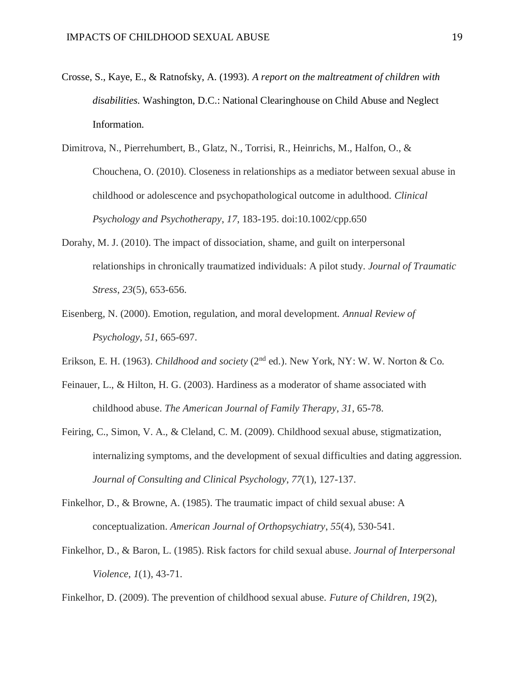- Crosse, S., Kaye, E., & Ratnofsky, A. (1993). *A report on the maltreatment of children with disabilities.* Washington, D.C.: National Clearinghouse on Child Abuse and Neglect Information.
- Dimitrova, N., Pierrehumbert, B., Glatz, N., Torrisi, R., Heinrichs, M., Halfon, O., & Chouchena, O. (2010). Closeness in relationships as a mediator between sexual abuse in childhood or adolescence and psychopathological outcome in adulthood. *Clinical Psychology and Psychotherapy*, *17*, 183-195. doi:10.1002/cpp.650
- Dorahy, M. J. (2010). The impact of dissociation, shame, and guilt on interpersonal relationships in chronically traumatized individuals: A pilot study. *Journal of Traumatic Stress*, *23*(5), 653-656.
- Eisenberg, N. (2000). Emotion, regulation, and moral development. *Annual Review of Psychology*, *51*, 665-697.
- Erikson, E. H. (1963). *Childhood and society* (2nd ed.). New York, NY: W. W. Norton & Co.
- Feinauer, L., & Hilton, H. G. (2003). Hardiness as a moderator of shame associated with childhood abuse. *The American Journal of Family Therapy*, *31*, 65-78.
- Feiring, C., Simon, V. A., & Cleland, C. M. (2009). Childhood sexual abuse, stigmatization, internalizing symptoms, and the development of sexual difficulties and dating aggression. *Journal of Consulting and Clinical Psychology*, *77*(1), 127-137.
- Finkelhor, D., & Browne, A. (1985). The traumatic impact of child sexual abuse: A conceptualization. *American Journal of Orthopsychiatry*, *55*(4), 530-541.
- Finkelhor, D., & Baron, L. (1985). Risk factors for child sexual abuse. *Journal of Interpersonal Violence*, *1*(1), 43-71.

Finkelhor, D. (2009). The prevention of childhood sexual abuse. *Future of Children*, *19*(2),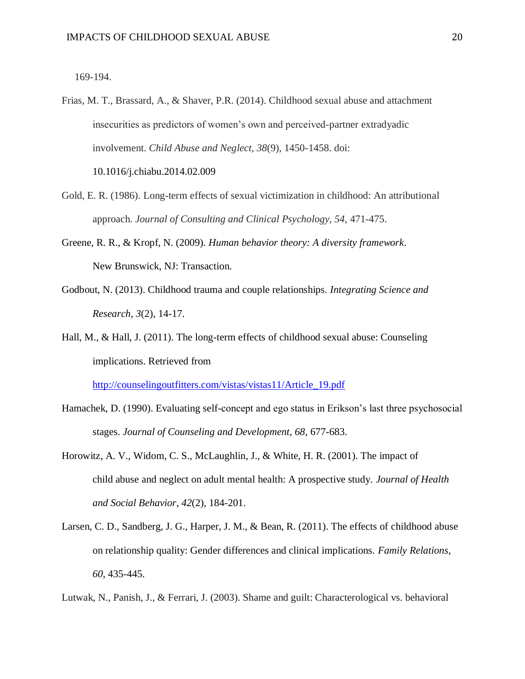169-194.

- Frias, M. T., Brassard, A., & Shaver, P.R. (2014). Childhood sexual abuse and attachment insecurities as predictors of women's own and perceived-partner extradyadic involvement. *Child Abuse and Neglect, 38*(9), 1450-1458. doi: 10.1016/j.chiabu.2014.02.009
- Gold, E. R. (1986). Long-term effects of sexual victimization in childhood: An attributional approach. *Journal of Consulting and Clinical Psychology, 54,* 471-475.
- Greene, R. R., & Kropf, N. (2009). *Human behavior theory: A diversity framework*. New Brunswick, NJ: Transaction.
- Godbout, N. (2013). Childhood trauma and couple relationships. *Integrating Science and Research*, *3*(2), 14-17.
- Hall, M., & Hall, J. (2011). The long-term effects of childhood sexual abuse: Counseling implications. Retrieved from

[http://counselingoutfitters.com/vistas/vistas11/Article\\_19.pdf](http://counselingoutfitters.com/vistas/vistas11/Article_19.pdf)

- Hamachek, D. (1990). Evaluating self-concept and ego status in Erikson's last three psychosocial stages. *Journal of Counseling and Development*, *68*, 677-683.
- Horowitz, A. V., Widom, C. S., McLaughlin, J., & White, H. R. (2001). The impact of child abuse and neglect on adult mental health: A prospective study. *Journal of Health and Social Behavior*, *42*(2), 184-201.
- Larsen, C. D., Sandberg, J. G., Harper, J. M., & Bean, R. (2011). The effects of childhood abuse on relationship quality: Gender differences and clinical implications. *Family Relations, 60*, 435-445.
- Lutwak, N., Panish, J., & Ferrari, J. (2003). Shame and guilt: Characterological vs. behavioral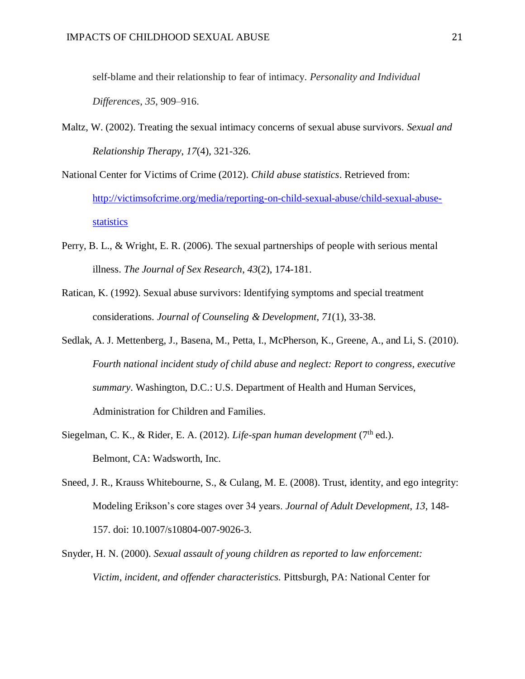self-blame and their relationship to fear of intimacy. *Personality and Individual Differences*, *35*, 909–916.

- Maltz, W. (2002). Treating the sexual intimacy concerns of sexual abuse survivors. *Sexual and Relationship Therapy*, *17*(4), 321-326.
- National Center for Victims of Crime (2012). *Child abuse statistics*. Retrieved from: [http://victimsofcrime.org/media/reporting-on-child-sexual-abuse/child-sexual-abuse](http://victimsofcrime.org/media/reporting-on-child-sexual-abuse/child-sexual-abuse-statistics)[statistics](http://victimsofcrime.org/media/reporting-on-child-sexual-abuse/child-sexual-abuse-statistics)
- Perry, B. L., & Wright, E. R. (2006). The sexual partnerships of people with serious mental illness. *The Journal of Sex Research*, *43*(2), 174-181.
- Ratican, K. (1992). Sexual abuse survivors: Identifying symptoms and special treatment considerations. *Journal of Counseling & Development*, *71*(1), 33-38.
- Sedlak, A. J. Mettenberg, J., Basena, M., Petta, I., McPherson, K., Greene, A., and Li, S. (2010). *Fourth national incident study of child abuse and neglect: Report to congress, executive summary*. Washington, D.C.: U.S. Department of Health and Human Services, Administration for Children and Families.
- Siegelman, C. K., & Rider, E. A. (2012). *Life-span human development* (7<sup>th</sup> ed.). Belmont, CA: Wadsworth, Inc.
- Sneed, J. R., Krauss Whitebourne, S., & Culang, M. E. (2008). Trust, identity, and ego integrity: Modeling Erikson's core stages over 34 years. *Journal of Adult Development*, *13*, 148- 157. doi: 10.1007/s10804-007-9026-3.
- Snyder, H. N. (2000). *Sexual assault of young children as reported to law enforcement: Victim, incident, and offender characteristics.* Pittsburgh, PA: National Center for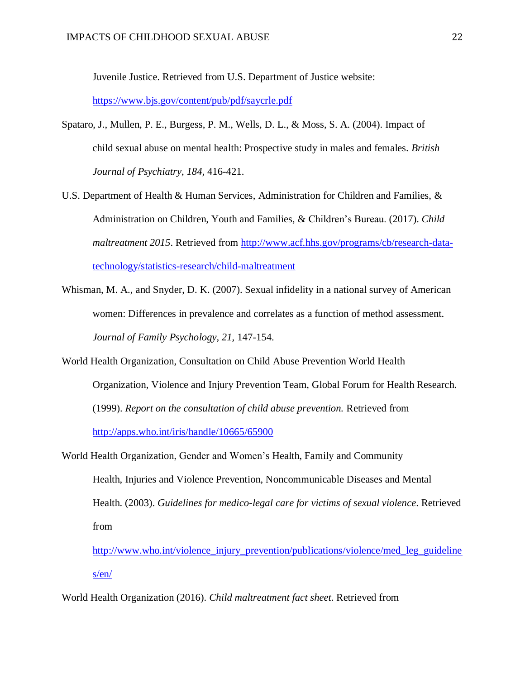Juvenile Justice. Retrieved from U.S. Department of Justice website:

<https://www.bjs.gov/content/pub/pdf/saycrle.pdf>

- Spataro, J., Mullen, P. E., Burgess, P. M., Wells, D. L., & Moss, S. A. (2004). Impact of child sexual abuse on mental health: Prospective study in males and females. *British Journal of Psychiatry*, *184,* 416-421.
- U.S. Department of Health & Human Services, Administration for Children and Families, & Administration on Children, Youth and Families, & Children's Bureau. (2017). *Child maltreatment 2015*. Retrieved from [http://www.acf.hhs.gov/programs/cb/research-data](http://www.acf.hhs.gov/programs/cb/research-data-technology/statistics-research/child-maltreatment)[technology/statistics-research/child-maltreatment](http://www.acf.hhs.gov/programs/cb/research-data-technology/statistics-research/child-maltreatment)
- Whisman, M. A., and Snyder, D. K. (2007). Sexual infidelity in a national survey of American women: Differences in prevalence and correlates as a function of method assessment. *Journal of Family Psychology, 21,* 147-154.
- World Health Organization, Consultation on Child Abuse Prevention World Health Organization, Violence and Injury Prevention Team, Global Forum for Health Research. (1999). *Report on the consultation of child abuse prevention.* Retrieved from <http://apps.who.int/iris/handle/10665/65900>
- World Health Organization, Gender and Women's Health, Family and Community Health, Injuries and Violence Prevention, Noncommunicable Diseases and Mental Health. (2003). *Guidelines for medico-legal care for victims of sexual violence*. Retrieved from

[http://www.who.int/violence\\_injury\\_prevention/publications/violence/med\\_leg\\_guideline](http://www.who.int/violence_injury_prevention/publications/violence/med_leg_guidelines/en/) [s/en/](http://www.who.int/violence_injury_prevention/publications/violence/med_leg_guidelines/en/)

World Health Organization (2016). *Child maltreatment fact sheet*. Retrieved from